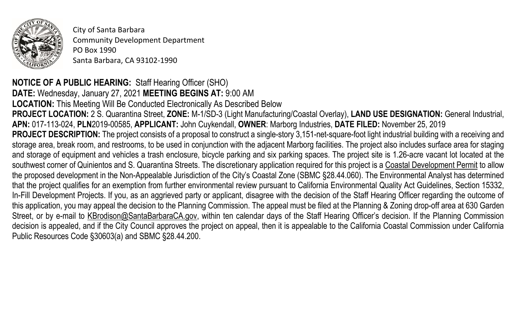

City of Santa Barbara Community Development Department PO Box 1990 Santa Barbara, CA 93102-1990

## **NOTICE OF A PUBLIC HEARING:** Staff Hearing Officer (SHO)

**DATE:** Wednesday, January 27, 2021 **MEETING BEGINS AT:** 9:00 AM **LOCATION:** This Meeting Will Be Conducted Electronically As Described Below **PROJECT LOCATION:** 2 S. Quarantina Street, **ZONE:** M-1/SD-3 (Light Manufacturing/Coastal Overlay), **LAND USE DESIGNATION:** General Industrial, **APN:** 017-113-024, **PLN**2019-00585, **APPLICANT:** John Cuykendall, **OWNER**: Marborg Industries, **DATE FILED:** November 25, 2019 **PROJECT DESCRIPTION:** The project consists of a proposal to construct a single-story 3,151-net-square-foot light industrial building with a receiving and storage area, break room, and restrooms, to be used in conjunction with the adjacent Marborg facilities. The project also includes surface area for staging and storage of equipment and vehicles a trash enclosure, bicycle parking and six parking spaces. The project site is 1.26-acre vacant lot located at the southwest corner of Quinientos and S. Quarantina Streets. The discretionary application required for this project is a Coastal Development Permit to allow the proposed development in the Non-Appealable Jurisdiction of the City's Coastal Zone (SBMC §28.44.060). The Environmental Analyst has determined that the project qualifies for an exemption from further environmental review pursuant to California Environmental Quality Act Guidelines, Section 15332, In-Fill Development Projects. If you, as an aggrieved party or applicant, disagree with the decision of the Staff Hearing Officer regarding the outcome of this application, you may appeal the decision to the Planning Commission. The appeal must be filed at the Planning & Zoning drop-off area at 630 Garden Street, or by e-mail to [KBrodison@SantaBarbaraCA.gov](mailto:KBrodison@SantaBarbaraCA.gov), within ten calendar days of the Staff Hearing Officer's decision. If the Planning Commission decision is appealed, and if the City Council approves the project on appeal, then it is appealable to the California Coastal Commission under California Public Resources Code §30603(a) and SBMC §28.44.200.